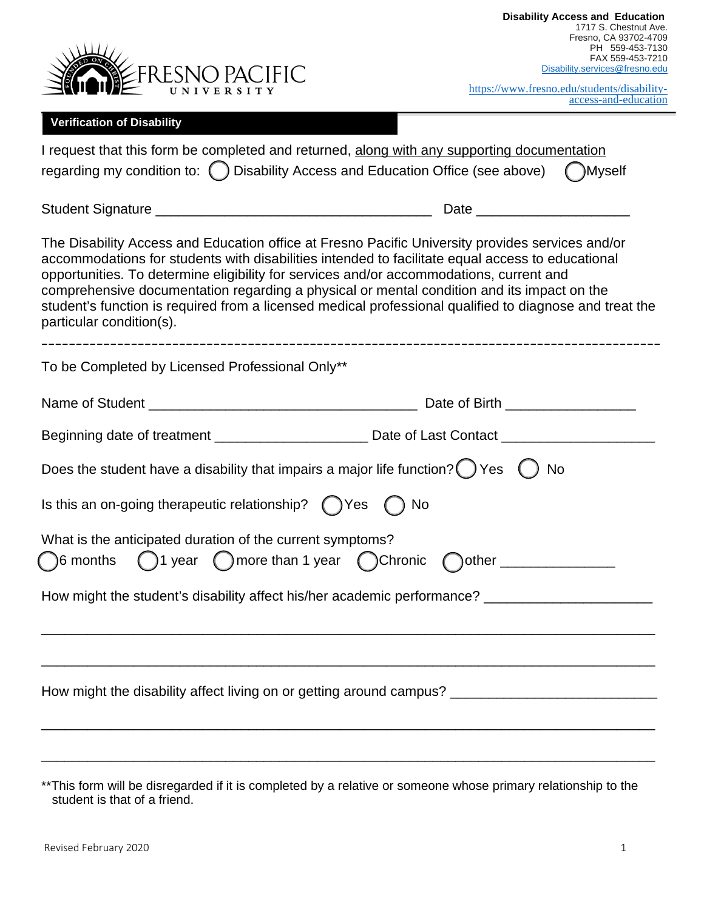

| https://www.fresno.edu/students/disability- |                      |
|---------------------------------------------|----------------------|
|                                             | access-and-education |

## **Verification of Disability**

| I request that this form be completed and returned, along with any supporting documentation<br>regarding my condition to: () Disability Access and Education Office (see above)<br>( )Myself                                                                                                                                                                                                                                                                                                                                         |  |  |  |  |
|--------------------------------------------------------------------------------------------------------------------------------------------------------------------------------------------------------------------------------------------------------------------------------------------------------------------------------------------------------------------------------------------------------------------------------------------------------------------------------------------------------------------------------------|--|--|--|--|
|                                                                                                                                                                                                                                                                                                                                                                                                                                                                                                                                      |  |  |  |  |
| The Disability Access and Education office at Fresno Pacific University provides services and/or<br>accommodations for students with disabilities intended to facilitate equal access to educational<br>opportunities. To determine eligibility for services and/or accommodations, current and<br>comprehensive documentation regarding a physical or mental condition and its impact on the<br>student's function is required from a licensed medical professional qualified to diagnose and treat the<br>particular condition(s). |  |  |  |  |
| To be Completed by Licensed Professional Only**                                                                                                                                                                                                                                                                                                                                                                                                                                                                                      |  |  |  |  |
|                                                                                                                                                                                                                                                                                                                                                                                                                                                                                                                                      |  |  |  |  |
|                                                                                                                                                                                                                                                                                                                                                                                                                                                                                                                                      |  |  |  |  |
| Does the student have a disability that impairs a major life function? $\bigcirc$ Yes $\bigcirc$<br><b>No</b>                                                                                                                                                                                                                                                                                                                                                                                                                        |  |  |  |  |
| Is this an on-going therapeutic relationship? $($ $)$ Yes $( )$ No                                                                                                                                                                                                                                                                                                                                                                                                                                                                   |  |  |  |  |
| What is the anticipated duration of the current symptoms?<br>$\bigcap$ 6 months $\bigcap$ 1 year $\bigcap$ more than 1 year $\bigcap$ Chronic $\bigcap$ other _____________                                                                                                                                                                                                                                                                                                                                                          |  |  |  |  |
| How might the student's disability affect his/her academic performance? ____________________________                                                                                                                                                                                                                                                                                                                                                                                                                                 |  |  |  |  |
|                                                                                                                                                                                                                                                                                                                                                                                                                                                                                                                                      |  |  |  |  |

<sup>\*\*</sup>This form will be disregarded if it is completed by a relative or someone whose primary relationship to the student is that of a friend.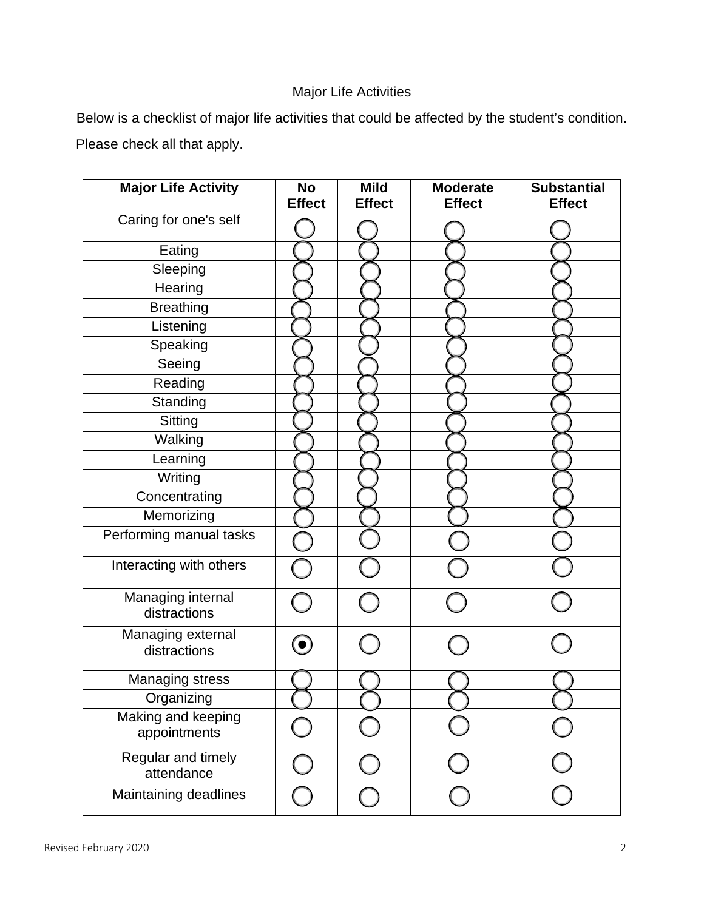## Major Life Activities

Below is a checklist of major life activities that could be affected by the student's condition. Please check all that apply.

| <b>Major Life Activity</b>         | <b>No</b><br><b>Effect</b>                  | <b>Mild</b><br><b>Effect</b> | <b>Moderate</b><br><b>Effect</b> | <b>Substantial</b><br><b>Effect</b> |
|------------------------------------|---------------------------------------------|------------------------------|----------------------------------|-------------------------------------|
| Caring for one's self              |                                             |                              |                                  |                                     |
| Eating                             |                                             |                              |                                  |                                     |
| Sleeping                           |                                             |                              |                                  |                                     |
| Hearing                            |                                             |                              |                                  |                                     |
| <b>Breathing</b>                   |                                             |                              |                                  |                                     |
| Listening                          |                                             |                              |                                  |                                     |
| Speaking                           |                                             |                              |                                  |                                     |
| Seeing                             |                                             |                              |                                  |                                     |
| Reading                            |                                             |                              |                                  |                                     |
| Standing                           |                                             |                              |                                  |                                     |
| <b>Sitting</b>                     |                                             |                              |                                  |                                     |
| Walking                            |                                             |                              |                                  |                                     |
| Learning                           |                                             |                              |                                  |                                     |
| Writing                            |                                             |                              |                                  |                                     |
| Concentrating                      |                                             |                              |                                  |                                     |
| Memorizing                         |                                             |                              |                                  |                                     |
| Performing manual tasks            |                                             |                              |                                  |                                     |
| Interacting with others            |                                             |                              |                                  |                                     |
| Managing internal<br>distractions  |                                             |                              |                                  |                                     |
| Managing external<br>distractions  |                                             |                              |                                  |                                     |
| <b>Managing stress</b>             |                                             |                              |                                  |                                     |
| Organizing                         |                                             |                              |                                  |                                     |
| Making and keeping<br>appointments | $\left(\begin{array}{c} \end{array}\right)$ |                              |                                  |                                     |
| Regular and timely<br>attendance   |                                             |                              |                                  |                                     |
| Maintaining deadlines              |                                             |                              |                                  |                                     |